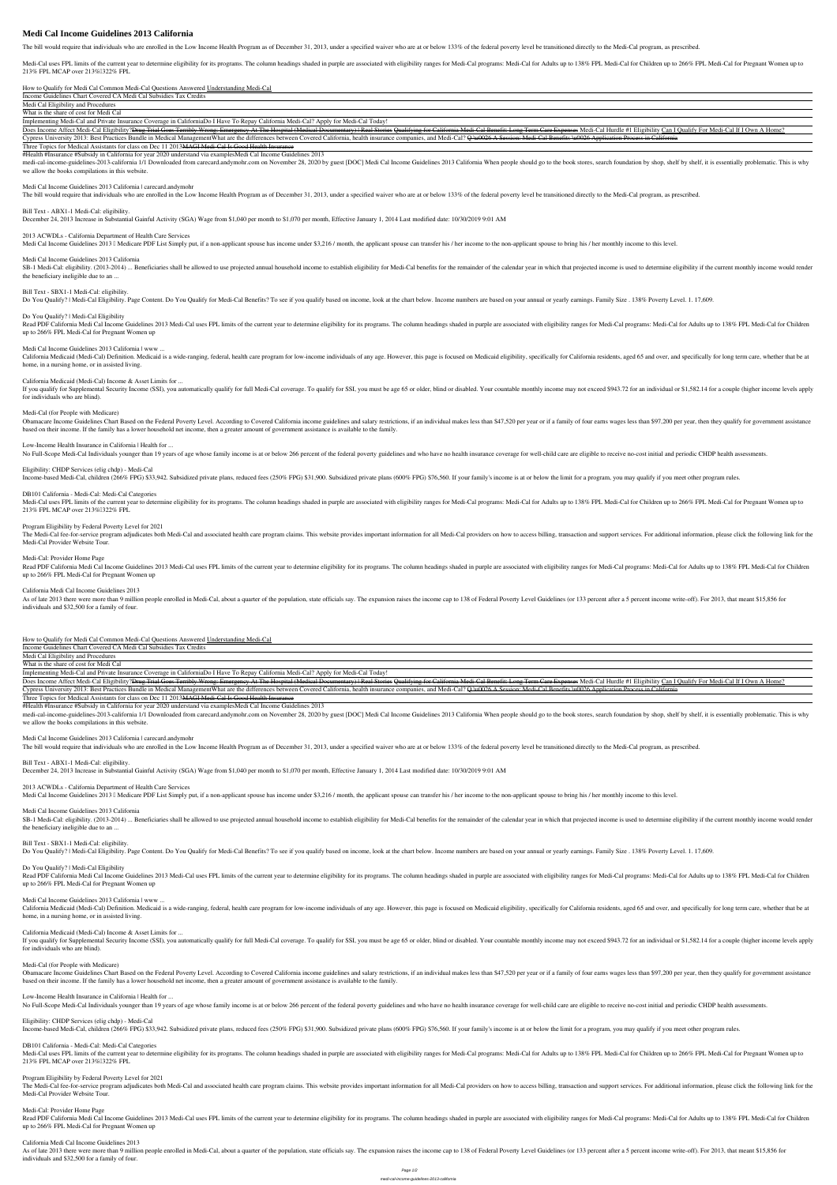# **Medi Cal Income Guidelines 2013 California**

The bill would require that individuals who are enrolled in the Low Income Health Program as of December 31, 2013, under a specified waiver who are at or below 133% of the federal poverty level be transitioned directly to

Medi-Cal uses FPL limits of the current year to determine eligibility for its programs. The column headings shaded in purple are associated with eligibility ranges for Medi-Cal for Adults up to 138% FPL Medi-Cal for Childr 213% FPL MCAP over 213% 322% FPL

*How to Qualify for Medi Cal* Common Medi-Cal Questions Answered Understanding Medi-Cal

Income Guidelines Chart Covered CA Medi Cal Subsidies Tax Credits

Medi Cal Eligibility and Procedures

What is the share of cost for Medi Cal

Implementing Medi-Cal and Private Insurance Coverage in California**Do I Have To Repay California Medi-Cal? Apply for Medi-Cal Today!**

Does Income Affect Medi-Cal Eligibility?<del>Drug Trial Goes Terribly Wrong: Emergency At The Hospital (Medical Documentary) | Real Stories Qualifying for California Medi-Cal Benefit: Long Term Care Expenses Medi-Cal Hurdle #1</del>

Cypress University 2013: Best Practices Bundle in Medical ManagementWhat are the differences between Covered California, health insurance companies, and Medi-Cal? O 40026 A Session: Medi-Cal Benefits 40026 Application Proc

Three Topics for Medical Assistants for class on Dec 11 2013 MAGI Medi-Cal Is Good Health Insurance

medi-cal-income-guidelines-2013-california 1/1 Downloaded from carecard.andymohr.com on November 28, 2020 by guest [DOC] Medi Cal Income Guidelines 2013 California When people should go to the book stores, search foundatio we allow the books compilations in this website.

SB-1 Medi-Cal: eligibility. (2013-2014) ... Beneficiaries shall be allowed to use projected annual household income to establish eligibility for Medi-Cal benefits for the remainder of the calendar year in which that projec the beneficiary ineligible due to an ...

#Health #Insurance #Subsidy in California for year 2020 understand via examples*Medi Cal Income Guidelines 2013*

Read PDF California Medi Cal Income Guidelines 2013 Medi-Cal uses FPL limits of the current year to determine eligibility for its programs. The column headings shaded in purple are associated with eligibility ranges for Me up to 266% FPL Medi-Cal for Pregnant Women up

*Medi Cal Income Guidelines 2013 California | carecard.andymohr*

The bill would require that individuals who are enrolled in the Low Income Health Program as of December 31, 2013, under a specified waiver who are at or below 133% of the federal poverty level be transitioned directly to

California Medicaid (Medi-Cal) Definition. Medicaid is a wide-ranging, federal, health care program for low-income individuals of any age. However, this page is focused on Medicaid eligibility, specifically for California home, in a nursing home, or in assisted living.

If you qualify for Supplemental Security Income (SSI), you automatically qualify for full Medi-Cal coverage. To qualify for SSI, you must be age 65 or older, blind or disabled. Your countable monthly income may not exceed for individuals who are blind).

*Bill Text - ABX1-1 Medi-Cal: eligibility.*

December 24, 2013 Increase in Substantial Gainful Activity (SGA) Wage from \$1,040 per month to \$1,070 per month, Effective January 1, 2014 Last modified date: 10/30/2019 9:01 AM

#### *2013 ACWDLs - California Department of Health Care Services*

Medi Cal Income Guidelines 2013 I Medicare PDF List Simply put, if a non-applicant spouse has income under \$3,216 / month, the applicant spouse can transfer his / her income to the non-applicant spouse to bring his / her m

Obamacare Income Guidelines Chart Based on the Federal Poverty Level. According to Covered California income guidelines and salary restrictions, if an individual makes less than \$47,520 per year or if a family of four earn based on their income. If the family has a lower household net income, then a greater amount of government assistance is available to the family.

#### *Medi Cal Income Guidelines 2013 California*

*Bill Text - SBX1-1 Medi-Cal: eligibility.*

Do You Qualify? | Medi-Cal Eligibility. Page Content. Do You Qualify for Medi-Cal Benefits? To see if you qualify based on income, look at the chart below. Income numbers are based on your annual or yearly earnings. Family

The Medi-Cal fee-for-service program adjudicates both Medi-Cal and associated health care program claims. This website provides important information for all Medi-Cal providers on how to access billing, transaction and sup Medi-Cal Provider Website Tour.

Read PDF California Medi Cal Income Guidelines 2013 Medi-Cal uses FPL limits of the current year to determine eligibility for its programs. The column headings shaded in purple are associated with eligibility ranges for Me up to 266% FPL Medi-Cal for Pregnant Women up

*Do You Qualify? | Medi-Cal Eligibility*

As of late 2013 there were more than 9 million people enrolled in Medi-Cal, about a quarter of the population, state officials say. The expansion raises the income cap to 138 of Federal Poverty Level Guidelines (or 133 per individuals and \$32,500 for a family of four.

#### *Medi Cal Income Guidelines 2013 California | www ...*

#### *California Medicaid (Medi-Cal) Income & Asset Limits for ...*

medi-cal-income-guidelines-2013-california 1/1 Downloaded from carecard.andymohr.com on November 28, 2020 by guest [DOC] Medi Cal Income Guidelines 2013 California When people should go to the book stores, search foundatio we allow the books compilations in this website.

#### *Medi-Cal (for People with Medicare)*

SB-1 Medi-Cal: eligibility. (2013-2014) ... Beneficiaries shall be allowed to use projected annual household income to establish eligibility for Medi-Cal benefits for the remainder of the calendar year in which that projec the beneficiary ineligible due to an ...

#### *Low-Income Health Insurance in California | Health for ...*

No Full-Scope Medi-Cal Individuals younger than 19 years of age whose family income is at or below 266 percent of the federal poverty guidelines and who have no health insurance coverage for well-child care are eligible to

Read PDF California Medi Cal Income Guidelines 2013 Medi-Cal uses FPL limits of the current year to determine eligibility for its programs. The column headings shaded in purple are associated with eligibility ranges for Me up to 266% FPL Medi-Cal for Pregnant Women up

California Medicaid (Medi-Cal) Definition. Medicaid is a wide-ranging, federal, health care program for low-income individuals of any age. However, this page is focused on Medicaid eligibility, specifically for California home, in a nursing home, or in assisted living.

# *Eligibility: CHDP Services (elig chdp) - Medi-Cal*

Income-based Medi-Cal, children (266% FPG) \$33,942. Subsidized private plans, reduced fees (250% FPG) \$31,900. Subsidized private plans (600% FPG) \$76,560. If your family's income is at or below the limit for a program, yo

If you qualify for Supplemental Security Income (SSI), you automatically qualify for full Medi-Cal coverage. To qualify for SSI, you must be age 65 or older, blind or disabled. Your countable monthly income may not exceed for individuals who are blind).

# *DB101 California - Medi-Cal: Medi-Cal Categories*

Medi-Cal uses FPL limits of the current year to determine eligibility for its programs. The column headings shaded in purple are associated with eligibility ranges for Medi-Cal for Adults up to 138% FPL Medi-Cal for Childr 213% FPL MCAP over 213% 322% FPL

Obamacare Income Guidelines Chart Based on the Federal Poverty Level. According to Covered California income guidelines and salary restrictions, if an individual makes less than \$47,520 per year or if a family of four earn based on their income. If the family has a lower household net income, then a greater amount of government assistance is available to the family.

*Low-Income Health Insurance in California | Health for ...* No Full-Scope Medi-Cal Individuals younger than 19 years of age whose family income is at or below 266 percent of the federal poverty guidelines and who have no health insurance coverage for well-child care are eligible to

*Eligibility: CHDP Services (elig chdp) - Medi-Cal* Income-based Medi-Cal, children (266% FPG) \$33,942. Subsidized private plans, reduced fees (250% FPG) \$31,900. Subsidized private plans (600% FPG) \$76,560. If your family's income is at or below the limit for a program, yo

#### *Program Eligibility by Federal Poverty Level for 2021*

*DB101 California - Medi-Cal: Medi-Cal Categories* Medi-Cal uses FPL limits of the current year to determine eligibility for its programs. The column headings shaded in purple are associated with eligibility ranges for Medi-Cal for Adults up to 138% FPL Medi-Cal for Childr 213% FPL MCAP over 213% 322% FPL

#### *Medi-Cal: Provider Home Page*

Read PDF California Medi Cal Income Guidelines 2013 Medi-Cal uses FPL limits of the current year to determine eligibility for its programs. The column headings shaded in purple are associated with eligibility ranges for Me up to 266% FPL Medi-Cal for Pregnant Women up

#### *California Medi Cal Income Guidelines 2013*

As of late 2013 there were more than 9 million people enrolled in Medi-Cal, about a quarter of the population, state officials say. The expansion raises the income cap to 138 of Federal Poverty Level Guidelines (or 133 per individuals and \$32,500 for a family of four.

#### *How to Qualify for Medi Cal* Common Medi-Cal Questions Answered Understanding Medi-Cal

Income Guidelines Chart Covered CA Medi Cal Subsidies Tax Credits

Medi Cal Eligibility and Procedures

What is the share of cost for Medi Cal

Implementing Medi-Cal and Private Insurance Coverage in California**Do I Have To Repay California Medi-Cal? Apply for Medi-Cal Today!**

Does Income Affect Medi-Cal Eligibility?<del>Drug Trial Goes Terribly Wrong: Emergency At The Hospital (Medical Documentary) | Real Stories Qualifying for California Medi-Cal Benefit: Long Term Care Expenses Medi-Cal Hurdle #1</del>

Cypress University 2013: Best Practices Bundle in Medical Management What are the differences between Covered California, health insurance companies, and Medi-Cal? Q 40026 A Session: Medi-Cal Benefits 40026 Application Pro

Three Topics for Medical Assistants for class on Dec 11 2013MAGI Medi-Cal Is Good Health Insurance

#Health #Insurance #Subsidy in California for year 2020 understand via examples*Medi Cal Income Guidelines 2013*

#### *Medi Cal Income Guidelines 2013 California | carecard.andymohr*

The bill would require that individuals who are enrolled in the Low Income Health Program as of December 31, 2013, under a specified waiver who are at or below 133% of the federal poverty level be transitioned directly to

*Bill Text - ABX1-1 Medi-Cal: eligibility.*

December 24, 2013 Increase in Substantial Gainful Activity (SGA) Wage from \$1,040 per month to \$1,070 per month, Effective January 1, 2014 Last modified date: 10/30/2019 9:01 AM

## *2013 ACWDLs - California Department of Health Care Services*

Medi Cal Income Guidelines 2013 I Medicare PDF List Simply put, if a non-applicant spouse has income under \$3,216 / month, the applicant spouse can transfer his / her income to the non-applicant spouse to bring his / her m

## *Medi Cal Income Guidelines 2013 California*

## *Bill Text - SBX1-1 Medi-Cal: eligibility.*

Do You Qualify? | Medi-Cal Eligibility. Page Content. Do You Qualify for Medi-Cal Benefits? To see if you qualify based on income, look at the chart below. Income numbers are based on your annual or yearly earnings. Family

## *Do You Qualify? | Medi-Cal Eligibility*

*Medi Cal Income Guidelines 2013 California | www ...*

*California Medicaid (Medi-Cal) Income & Asset Limits for ...*

*Medi-Cal (for People with Medicare)*

*Program Eligibility by Federal Poverty Level for 2021* The Medi-Cal fee-for-service program adjudicates both Medi-Cal and associated health care program claims. This website provides important information for all Medi-Cal providers on how to access billing, transaction and sup Medi-Cal Provider Website Tour.

*Medi-Cal: Provider Home Page*

*California Medi Cal Income Guidelines 2013*